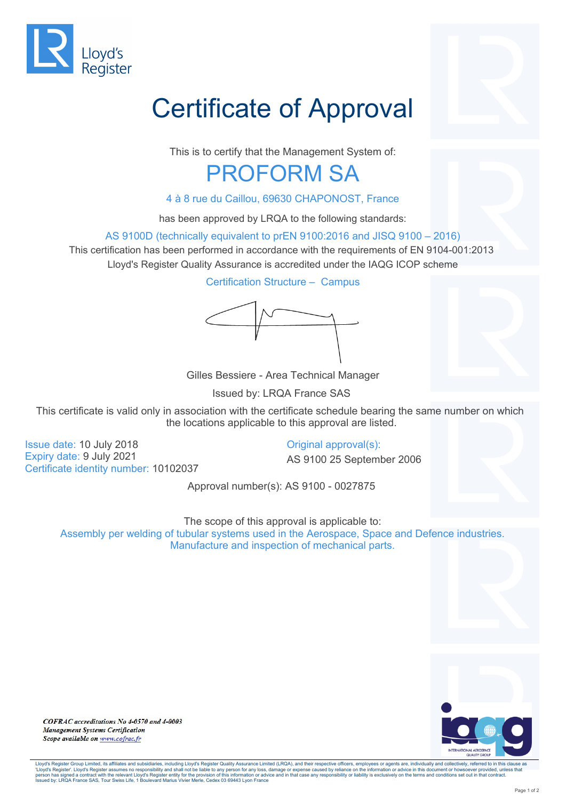

## Certificate of Approval

This is to certify that the Management System of:

## PROFORM SA

4 à 8 rue du Caillou, 69630 CHAPONOST, France

has been approved by LRQA to the following standards:

AS 9100D (technically equivalent to prEN 9100:2016 and JISQ 9100 – 2016)

This certification has been performed in accordance with the requirements of EN 9104-001:2013 Lloyd's Register Quality Assurance is accredited under the IAQG ICOP scheme

Certification Structure – Campus

Gilles Bessiere - Area Technical Manager

Issued by: LRQA France SAS

This certificate is valid only in association with the certificate schedule bearing the same number on which the locations applicable to this approval are listed.

Issue date: 10 July 2018 Expiry date: 9 July 2021 Certificate identity number: 10102037 Original approval(s):

AS 9100 25 September 2006

Approval number(s): AS 9100 - 0027875

The scope of this approval is applicable to:

Assembly per welding of tubular systems used in the Aerospace, Space and Defence industries. Manufacture and inspection of mechanical parts.



COFRAC accreditations No 4-0570 and 4-0003 **Management Systems Certification** Scope available on www.cofrac.fr

Lloyd's Register Group Limited, its affiliates and subsidiaries, including Lloyd's Register Quality Assurance Limited (LRQA), and their respective officers, employees or agents are, individually and collectively, referred